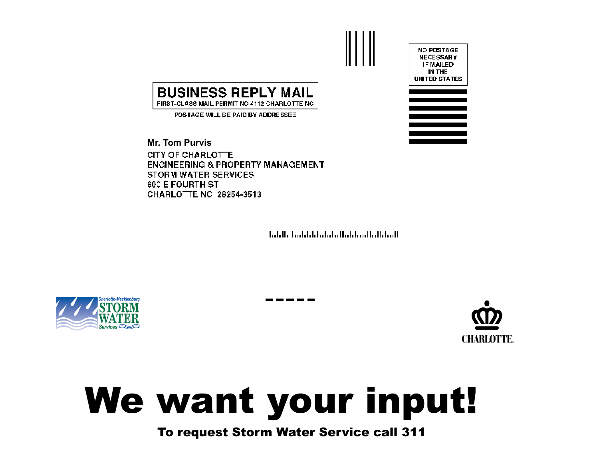

## **BUSINESS REPLY MAIL** FIRST-CLASS MAIL PERMIT NO 4112 CHARLOTTE NC

POSTAGE WILL BE PAID BY ADDRESSEE

**Mr. Tom PurvisCITY OF CHARLOTTE ENGINEERING & PROPERTY MANAGEMENT** STORM WATER SERVICES **600 E FOURTH ST** CHARLOTTE NC 28254-3513

المماطل بالمتطيان بالماماة والملطوط والماميا





## We want your input!

## To request Storm Water Service call 311

. . . . . . .